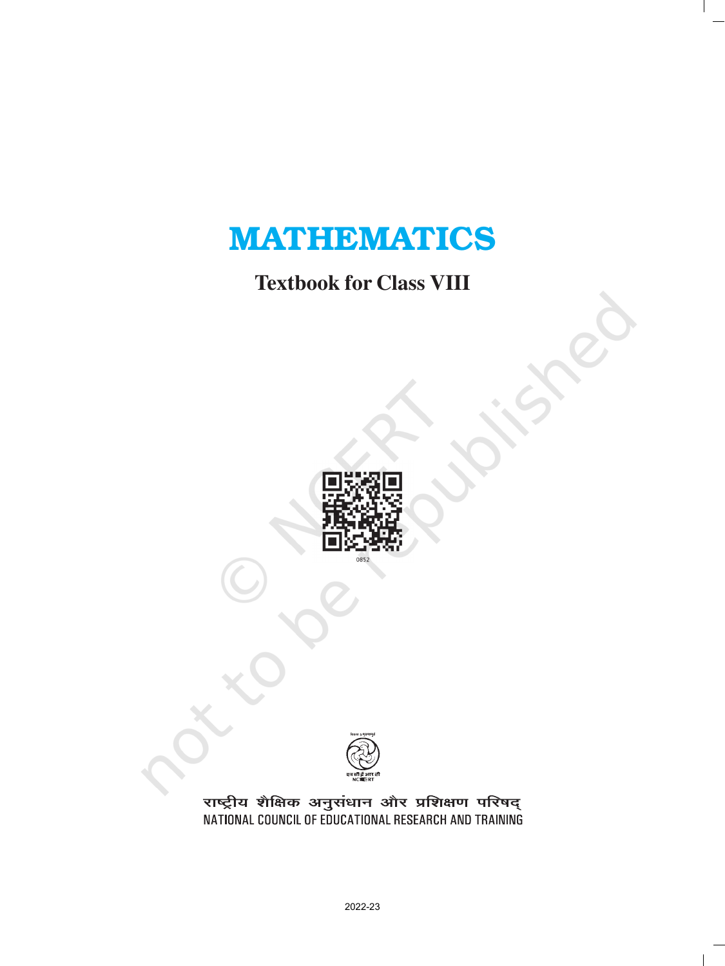

# **Textbook for Class VIII**





राष्ट्रीय शैक्षिक अनुसंधान और प्रशिक्षण परिषद्<br>NATIONAL COUNCIL OF EDUCATIONAL RESEARCH AND TRAINING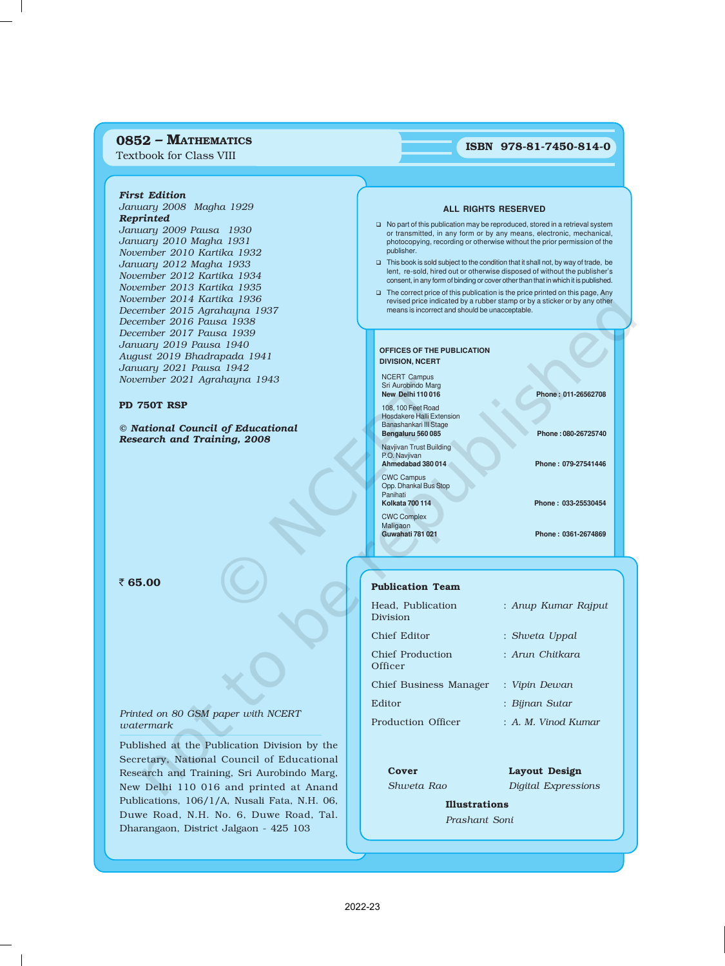### 0852 – MATHEMATICS **ISBN 978-81-7450-814-0**

Textbook for Class VIII

#### *First Edition*

*January 2008 Magha 1929 Reprinted January 2009 Pausa 1930 January 2010 Magha 1931 November 2010 Kartika 1932 January 2012 Magha 1933 November 2012 Kartika 1934 November 2013 Kartika 1935 November 2014 Kartika 1936 December 2015 Agrahayna 1937 December 2016 Pausa 1938 December 2017 Pausa 1939 January 2019 Pausa 1940 August 2019 Bhadrapada 1941 January 2021 Pausa 1942 November 2021 Agrahayna 1943*

#### PD 750T RSP

*© National Council of Educational Research and Training, 2008*

### ₹ 65.00

### *Printed on 80 GSM paper with NCERT watermark*

Published at the Publication Division by the Secretary, National Council of Educational Research and Training, Sri Aurobindo Marg, New Delhi 110 016 and printed at Anand Publications, 106/1/A, Nusali Fata, N.H. 06, Duwe Road, N.H. No. 6, Duwe Road, Tal. Dharangaon, District Jalgaon - 425 103

#### **ALL RIGHTS RESERVED**

- q No part of this publication may be reproduced, stored in a retrieval system or transmitted, in any form or by any means, electronic, mechanical, photocopying, recording or otherwise without the prior permission of the publisher.
- $\Box$  This book is sold subject to the condition that it shall not, by way of trade, be lent, re-sold, hired out or otherwise disposed of without the publisher's consent, in any form of binding or cover other than that in which it is published.
- □ The correct price of this publication is the price printed on this page, Any revised price indicated by a rubber stamp or by a sticker or by any other means is incorrect and should be unacceptable.

#### **OFFICES OF THE PUBLICATION DIVISION, NCERT**

NCERT Campus Sri Aurobindo Marg<br>New Delhi 110 016

108, 100 Feet Road Hosdakere Halli Extension Banashankari III Stage<br>Bengaluru 560 085 Navjivan Trust Building P.O. Navjivan<br>Ahmedabad 380 014 CWC Campus Opp. Dhankal Bus Stop

Panihati<br>Kolkata 700 114 CWC Complex

**New Delhi 110 016 Phone : 011-26562708**

**Bengaluru 560 085 Phone : 080-26725740**

**Ahmedabad 380 014 Phone : 079-27541446**

**Kolkata 700 114 Phone : 033-25530454**

Maligaon **Guwahati 781 021 Phone : 0361-2674869**

### Publication Team

| Head, Publication<br>Division | : Anup Kumar Rajput |
|-------------------------------|---------------------|
| <b>Chief Editor</b>           | : Shveta Uppal      |
| Chief Production<br>Officer   | : Arun Chitkara     |
| Chief Business Manager        | : Vipin Dewan       |
| Editor                        | : Bijnan Sutar      |
| Production Officer            | : A. M. Vinod Kumar |
|                               |                     |

Cover Layout Design *Shweta Rao Digital Expressions*

Illustrations

*Prashant Soni*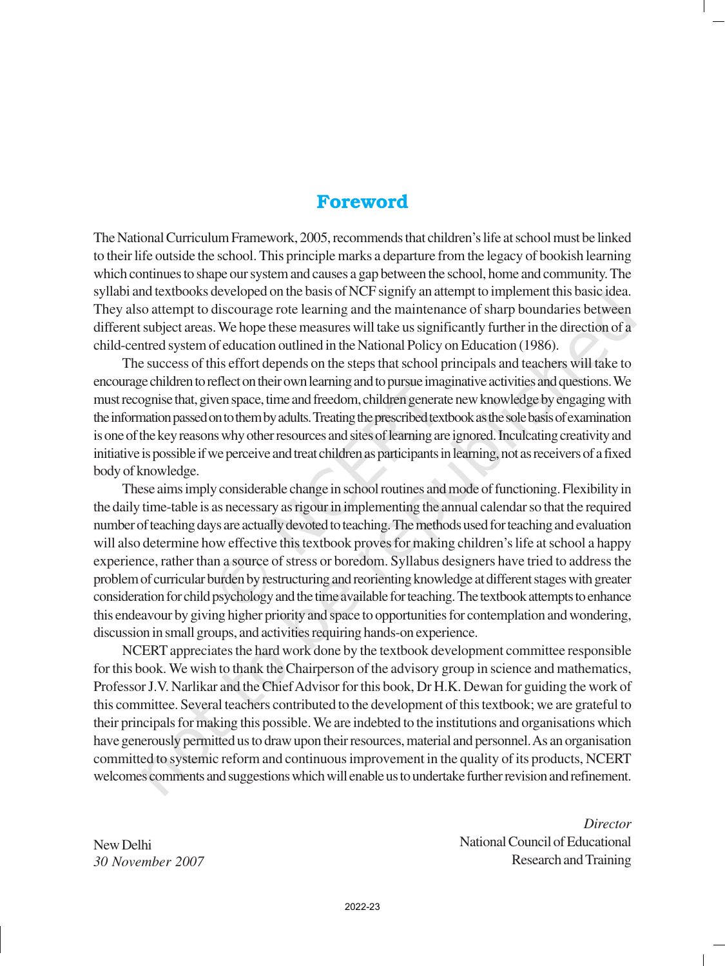## Foreword

The National Curriculum Framework, 2005, recommends that children's life at school must be linked to their life outside the school. This principle marks a departure from the legacy of bookish learning which continues to shape our system and causes a gap between the school, home and community. The syllabi and textbooks developed on the basis of NCF signify an attempt to implement this basic idea. They also attempt to discourage rote learning and the maintenance of sharp boundaries between different subject areas. We hope these measures will take us significantly further in the direction of a child-centred system of education outlined in the National Policy on Education (1986).

The success of this effort depends on the steps that school principals and teachers will take to encourage children to reflect on their own learning and to pursue imaginative activities and questions. We must recognise that, given space, time and freedom, children generate new knowledge by engaging with the information passed on to them by adults. Treating the prescribed textbook as the sole basis of examination is one of the key reasons why other resources and sites of learning are ignored. Inculcating creativity and initiative is possible if we perceive and treat children as participants in learning, not as receivers of a fixed body of knowledge.

These aims imply considerable change in school routines and mode of functioning. Flexibility in the daily time-table is as necessary as rigour in implementing the annual calendar so that the required number of teaching days are actually devoted to teaching. The methods used for teaching and evaluation will also determine how effective this textbook proves for making children's life at school a happy experience, rather than a source of stress or boredom. Syllabus designers have tried to address the problem of curricular burden by restructuring and reorienting knowledge at different stages with greater consideration for child psychology and the time available for teaching. The textbook attempts to enhance this endeavour by giving higher priority and space to opportunities for contemplation and wondering, discussion in small groups, and activities requiring hands-on experience.

NCERT appreciates the hard work done by the textbook development committee responsible for this book. We wish to thank the Chairperson of the advisory group in science and mathematics, Professor J.V. Narlikar and the Chief Advisor for this book, Dr H.K. Dewan for guiding the work of this committee. Several teachers contributed to the development of this textbook; we are grateful to their principals for making this possible. We are indebted to the institutions and organisations which have generously permitted us to draw upon their resources, material and personnel. As an organisation committed to systemic reform and continuous improvement in the quality of its products, NCERT welcomes comments and suggestions which will enable us to undertake further revision and refinement.

New Delhi *30 November 2007*

*Director* National Council of Educational Research and Training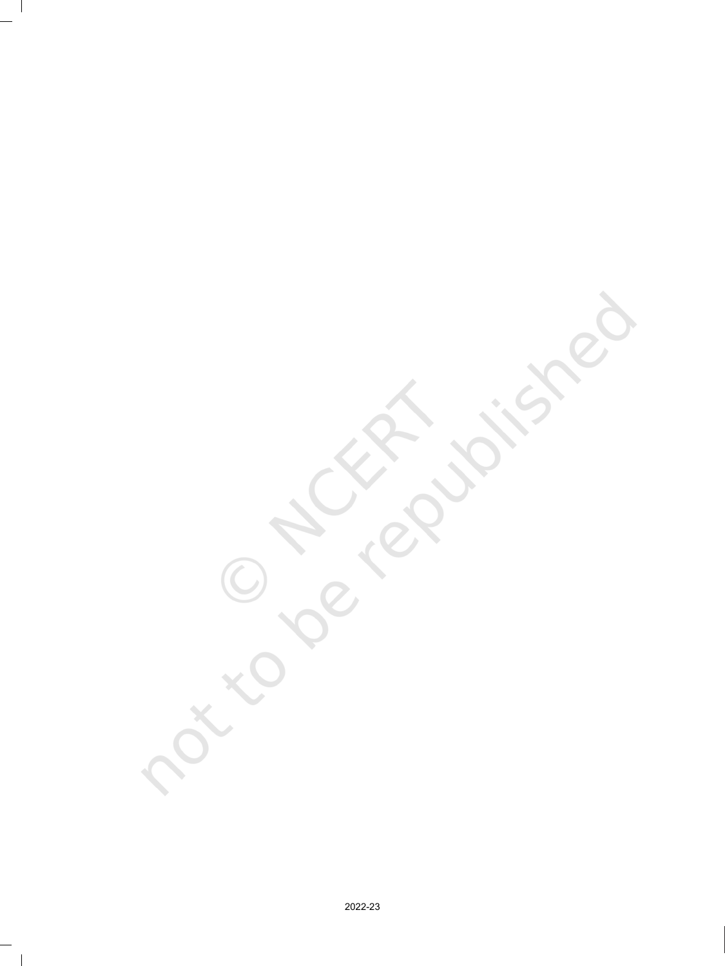$\frac{1}{2}$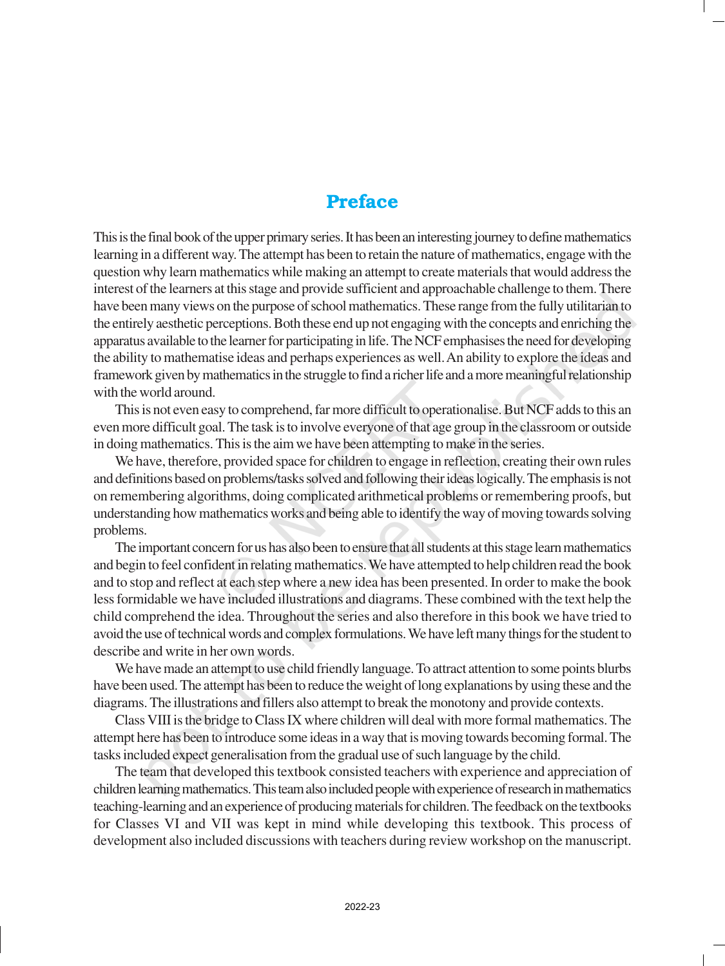## Preface

This is the final book of the upper primary series. It has been an interesting journey to define mathematics learning in a different way. The attempt has been to retain the nature of mathematics, engage with the question why learn mathematics while making an attempt to create materials that would address the interest of the learners at this stage and provide sufficient and approachable challenge to them. There have been many views on the purpose of school mathematics. These range from the fully utilitarian to the entirely aesthetic perceptions. Both these end up not engaging with the concepts and enriching the apparatus available to the learner for participating in life. The NCF emphasises the need for developing the ability to mathematise ideas and perhaps experiences as well. An ability to explore the ideas and framework given by mathematics in the struggle to find a richer life and a more meaningful relationship with the world around.

This is not even easy to comprehend, far more difficult to operationalise. But NCF adds to this an even more difficult goal. The task is to involve everyone of that age group in the classroom or outside in doing mathematics. This is the aim we have been attempting to make in the series.

We have, therefore, provided space for children to engage in reflection, creating their own rules and definitions based on problems/tasks solved and following their ideas logically. The emphasis is not on remembering algorithms, doing complicated arithmetical problems or remembering proofs, but understanding how mathematics works and being able to identify the way of moving towards solving problems.

The important concern for us has also been to ensure that all students at this stage learn mathematics and begin to feel confident in relating mathematics. We have attempted to help children read the book and to stop and reflect at each step where a new idea has been presented. In order to make the book less formidable we have included illustrations and diagrams. These combined with the text help the child comprehend the idea. Throughout the series and also therefore in this book we have tried to avoid the use of technical words and complex formulations. We have left many things for the student to describe and write in her own words.

We have made an attempt to use child friendly language. To attract attention to some points blurbs have been used. The attempt has been to reduce the weight of long explanations by using these and the diagrams. The illustrations and fillers also attempt to break the monotony and provide contexts.

Class VIII is the bridge to Class IX where children will deal with more formal mathematics. The attempt here has been to introduce some ideas in a way that is moving towards becoming formal. The tasks included expect generalisation from the gradual use of such language by the child.

The team that developed this textbook consisted teachers with experience and appreciation of children learning mathematics. This team also included people with experience of research in mathematics teaching-learning and an experience of producing materials for children. The feedback on the textbooks for Classes VI and VII was kept in mind while developing this textbook. This process of development also included discussions with teachers during review workshop on the manuscript.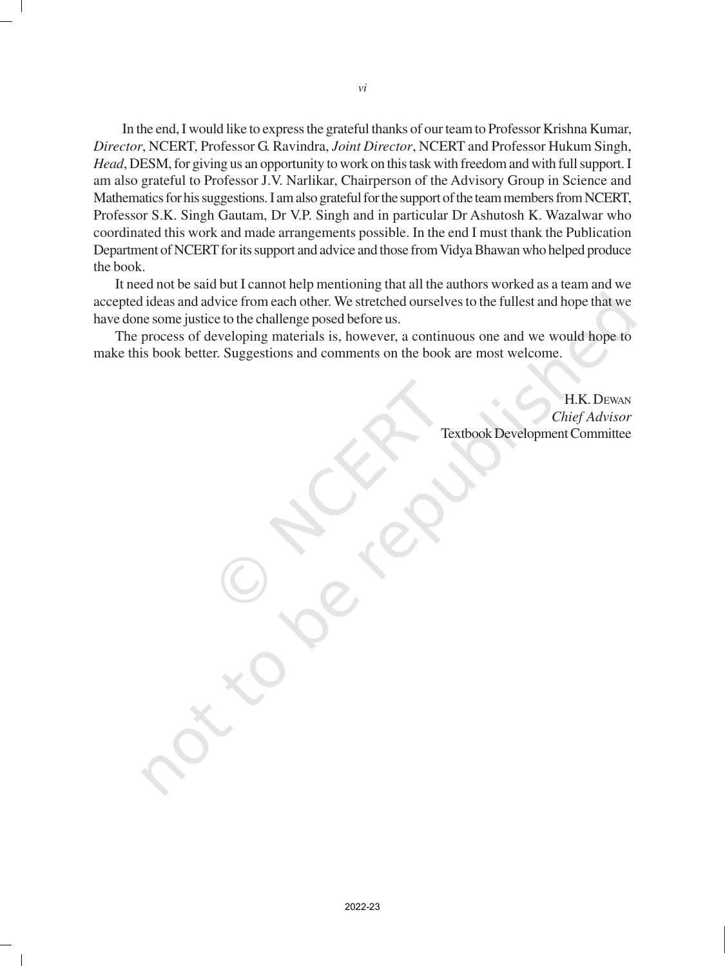In the end, I would like to express the grateful thanks of our team to Professor Krishna Kumar, *Director*, NCERT, Professor G. Ravindra, *Joint Director*, NCERT and Professor Hukum Singh, *Head*, DESM, for giving us an opportunity to work on this task with freedom and with full support. I am also grateful to Professor J.V. Narlikar, Chairperson of the Advisory Group in Science and Mathematics for his suggestions. I am also grateful for the support of the team members from NCERT, Professor S.K. Singh Gautam, Dr V.P. Singh and in particular Dr Ashutosh K. Wazalwar who coordinated this work and made arrangements possible. In the end I must thank the Publication Department of NCERT for its support and advice and those from Vidya Bhawan who helped produce the book.

It need not be said but I cannot help mentioning that all the authors worked as a team and we accepted ideas and advice from each other. We stretched ourselves to the fullest and hope that we have done some justice to the challenge posed before us.

The process of developing materials is, however, a continuous one and we would hope to make this book better. Suggestions and comments on the book are most welcome.

> H.K. DEWAN *Chief Advisor* Textbook Development Committee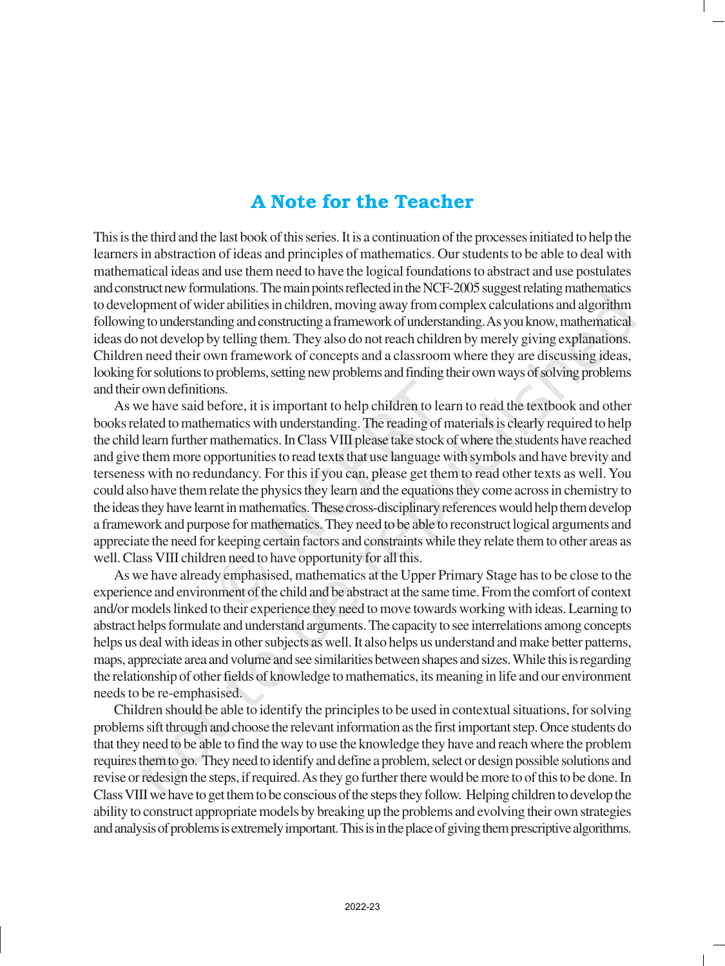# A Note for the Teacher

This is the third and the last book of this series. It is a continuation of the processes initiated to help the learners in abstraction of ideas and principles of mathematics. Our students to be able to deal with mathematical ideas and use them need to have the logical foundations to abstract and use postulates and construct new formulations. The main points reflected in the NCF-2005 suggest relating mathematics to development of wider abilities in children, moving away from complex calculations and algorithm following to understanding and constructing a framework of understanding. As you know, mathematical ideas do not develop by telling them. They also do not reach children by merely giving explanations. Children need their own framework of concepts and a classroom where they are discussing ideas, looking for solutions to problems, setting new problems and finding their own ways of solving problems and their own definitions.

As we have said before, it is important to help children to learn to read the textbook and other books related to mathematics with understanding. The reading of materials is clearly required to help the child learn further mathematics. In Class VIII please take stock of where the students have reached and give them more opportunities to read texts that use language with symbols and have brevity and terseness with no redundancy. For this if you can, please get them to read other texts as well. You could also have them relate the physics they learn and the equations they come across in chemistry to the ideas they have learnt in mathematics. These cross-disciplinary references would help them develop a framework and purpose for mathematics. They need to be able to reconstruct logical arguments and appreciate the need for keeping certain factors and constraints while they relate them to other areas as well. Class VIII children need to have opportunity for all this.

As we have already emphasised, mathematics at the Upper Primary Stage has to be close to the experience and environment of the child and be abstract at the same time. From the comfort of context and/or models linked to their experience they need to move towards working with ideas. Learning to abstract helps formulate and understand arguments. The capacity to see interrelations among concepts helps us deal with ideas in other subjects as well. It also helps us understand and make better patterns, maps, appreciate area and volume and see similarities between shapes and sizes. While this is regarding the relationship of other fields of knowledge to mathematics, its meaning in life and our environment needs to be re-emphasised.

Children should be able to identify the principles to be used in contextual situations, for solving problems sift through and choose the relevant information as the first important step. Once students do that they need to be able to find the way to use the knowledge they have and reach where the problem requires them to go. They need to identify and define a problem, select or design possible solutions and revise or redesign the steps, if required. As they go further there would be more to of this to be done. In Class VIII we have to get them to be conscious of the steps they follow. Helping children to develop the ability to construct appropriate models by breaking up the problems and evolving their own strategies and analysis of problems is extremely important. This is in the place of giving them prescriptive algorithms.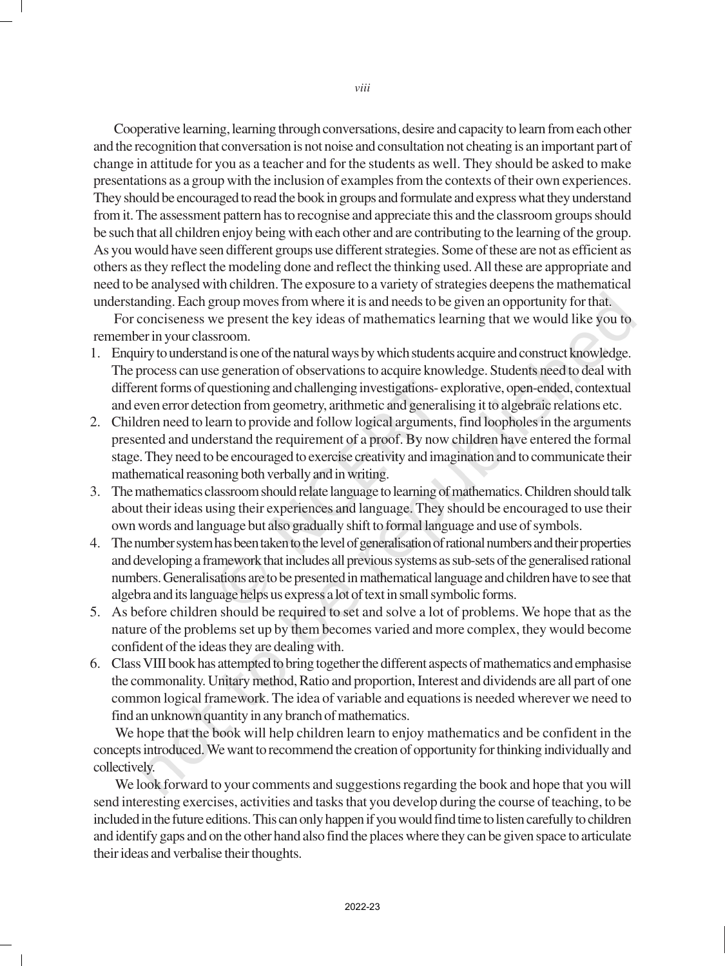Cooperative learning, learning through conversations, desire and capacity to learn from each other and the recognition that conversation is not noise and consultation not cheating is an important part of change in attitude for you as a teacher and for the students as well. They should be asked to make presentations as a group with the inclusion of examples from the contexts of their own experiences. They should be encouraged to read the book in groups and formulate and express what they understand from it. The assessment pattern has to recognise and appreciate this and the classroom groups should be such that all children enjoy being with each other and are contributing to the learning of the group. As you would have seen different groups use different strategies. Some of these are not as efficient as others as they reflect the modeling done and reflect the thinking used. All these are appropriate and need to be analysed with children. The exposure to a variety of strategies deepens the mathematical understanding. Each group moves from where it is and needs to be given an opportunity for that.

For conciseness we present the key ideas of mathematics learning that we would like you to remember in your classroom.

- 1. Enquiry to understand is one of the natural ways by which students acquire and construct knowledge. The process can use generation of observations to acquire knowledge. Students need to deal with different forms of questioning and challenging investigations- explorative, open-ended, contextual and even error detection from geometry, arithmetic and generalising it to algebraic relations etc.
- 2. Children need to learn to provide and follow logical arguments, find loopholes in the arguments presented and understand the requirement of a proof. By now children have entered the formal stage. They need to be encouraged to exercise creativity and imagination and to communicate their mathematical reasoning both verbally and in writing.
- 3. The mathematics classroom should relate language to learning of mathematics. Children should talk about their ideas using their experiences and language. They should be encouraged to use their own words and language but also gradually shift to formal language and use of symbols.
- 4. The number system has been taken to the level of generalisation of rational numbers and their properties and developing a framework that includes all previous systems as sub-sets of the generalised rational numbers.Generalisations are to be presented in mathematical language and children have to see that algebra and its language helps us express a lot of text in small symbolic forms.
- 5. As before children should be required to set and solve a lot of problems. We hope that as the nature of the problems set up by them becomes varied and more complex, they would become confident of the ideas they are dealing with.
- 6. Class VIII book has attempted to bring together the different aspects of mathematics and emphasise the commonality. Unitary method, Ratio and proportion, Interest and dividends are all part of one common logical framework. The idea of variable and equations is needed wherever we need to find an unknown quantity in any branch of mathematics.

We hope that the book will help children learn to enjoy mathematics and be confident in the concepts introduced. We want to recommend the creation of opportunity for thinking individually and collectively.

We look forward to your comments and suggestions regarding the book and hope that you will send interesting exercises, activities and tasks that you develop during the course of teaching, to be included in the future editions. This can only happen if you would find time to listen carefully to children and identify gaps and on the other hand also find the places where they can be given space to articulate their ideas and verbalise their thoughts.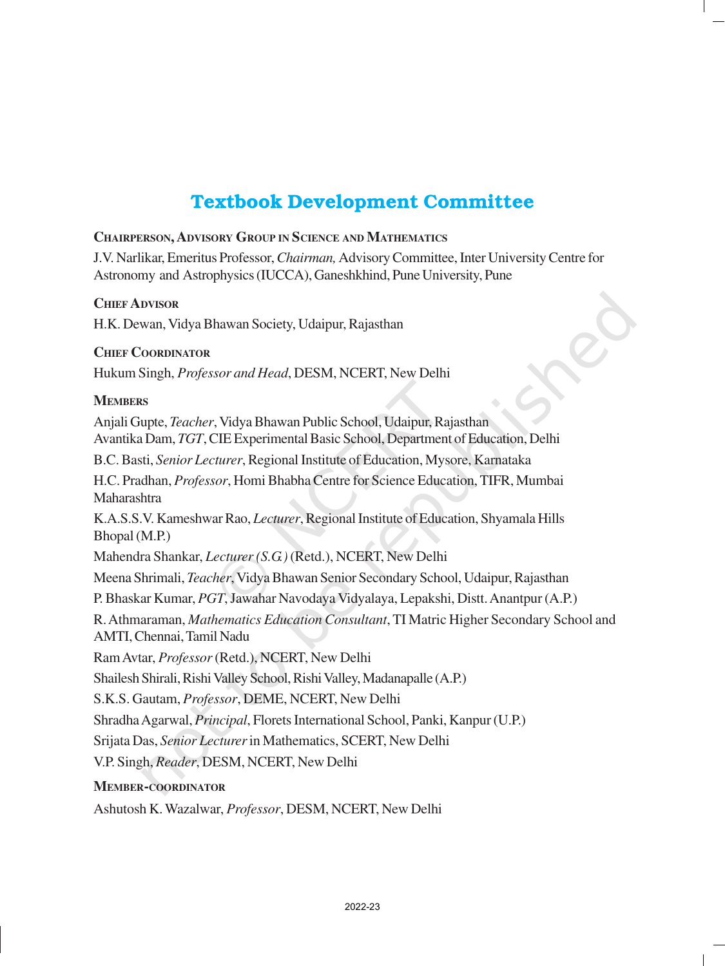# Textbook Development Committee

### **CHAIRPERSON, ADVISORY GROUP IN SCIENCE AND MATHEMATICS**

J.V. Narlikar, Emeritus Professor, *Chairman,* Advisory Committee, Inter University Centre for Astronomy and Astrophysics (IUCCA), Ganeshkhind, Pune University, Pune

### **CHIEF ADVISOR**

H.K. Dewan, Vidya Bhawan Society, Udaipur, Rajasthan

### **CHIEF COORDINATOR**

Hukum Singh, *Professor and Head*, DESM, NCERT, New Delhi

### **MEMBERS**

Anjali Gupte, *Teacher*, Vidya Bhawan Public School, Udaipur, Rajasthan Avantika Dam, *TGT*, CIE Experimental Basic School, Department of Education, Delhi B.C. Basti, *Senior Lecturer*, Regional Institute of Education, Mysore, Karnataka H.C. Pradhan, *Professor*, Homi Bhabha Centre for Science Education, TIFR, Mumbai Maharashtra K.A.S.S.V. Kameshwar Rao, *Lecturer*, Regional Institute of Education, Shyamala Hills Bhopal (M.P.) Mahendra Shankar, *Lecturer(S.G.)* (Retd.), NCERT, New Delhi Meena Shrimali, *Teacher*, Vidya Bhawan Senior Secondary School, Udaipur, Rajasthan P. Bhaskar Kumar, *PGT*, Jawahar Navodaya Vidyalaya, Lepakshi, Distt. Anantpur (A.P.) R. Athmaraman, *Mathematics Education Consultant*, TI Matric Higher Secondary School and AMTI, Chennai, Tamil Nadu Ram Avtar, *Professor* (Retd.), NCERT, New Delhi Shailesh Shirali, Rishi Valley School, Rishi Valley, Madanapalle (A.P.) S.K.S. Gautam, *Professor*, DEME, NCERT, New Delhi Shradha Agarwal, *Principal*, Florets International School, Panki, Kanpur (U.P.) Srijata Das, *Senior Lecturer* in Mathematics, SCERT, New Delhi V.P. Singh, *Reader*, DESM, NCERT, New Delhi **MEMBER-COORDINATOR** Ashutosh K. Wazalwar, *Professor*, DESM, NCERT, New Delhi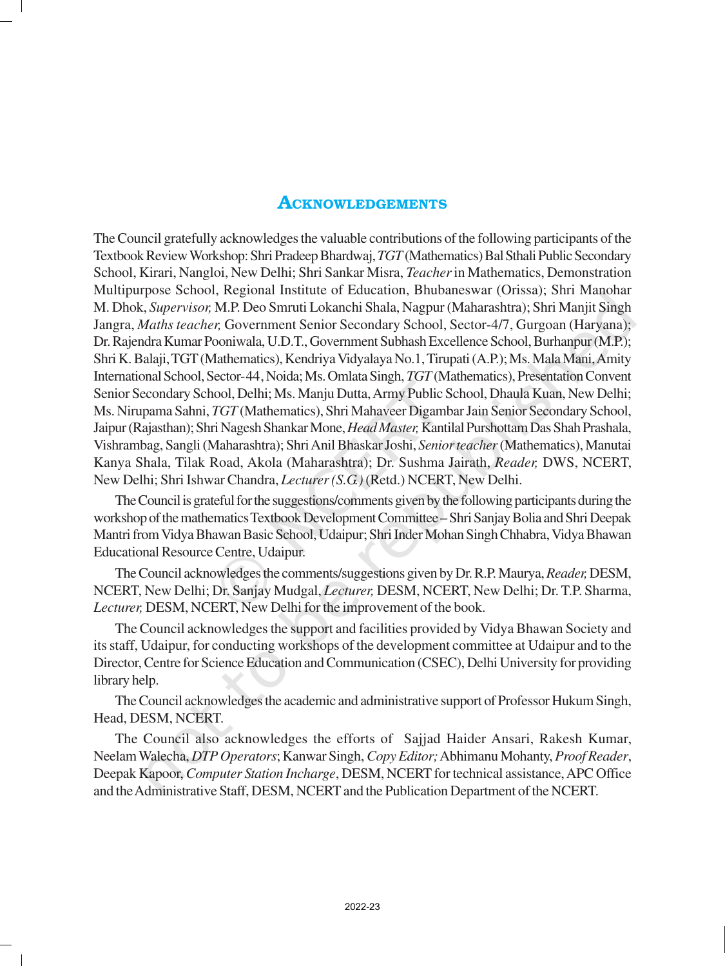### ACKNOWLEDGEMENTS

The Council gratefully acknowledges the valuable contributions of the following participants of the Textbook Review Workshop: Shri Pradeep Bhardwaj, *TGT* (Mathematics) Bal Sthali Public Secondary School, Kirari, Nangloi, New Delhi; Shri Sankar Misra, *Teacher* in Mathematics, Demonstration Multipurpose School, Regional Institute of Education, Bhubaneswar (Orissa); Shri Manohar M. Dhok, *Supervisor,* M.P. Deo Smruti Lokanchi Shala, Nagpur (Maharashtra); Shri Manjit Singh Jangra, *Maths teacher,* Government Senior Secondary School, Sector-4/7, Gurgoan (Haryana); Dr. Rajendra Kumar Pooniwala, U.D.T., Government Subhash Excellence School, Burhanpur (M.P.); Shri K. Balaji, TGT (Mathematics), Kendriya Vidyalaya No.1, Tirupati (A.P.); Ms. Mala Mani, Amity International School, Sector-44, Noida; Ms. Omlata Singh, *TGT* (Mathematics), Presentation Convent Senior Secondary School, Delhi; Ms. Manju Dutta, Army Public School, Dhaula Kuan, New Delhi; Ms. Nirupama Sahni, *TGT* (Mathematics), Shri Mahaveer Digambar Jain Senior Secondary School, Jaipur (Rajasthan); Shri Nagesh Shankar Mone, *Head Master,* Kantilal Purshottam Das Shah Prashala, Vishrambag, Sangli (Maharashtra); Shri Anil Bhaskar Joshi, *Senior teacher* (Mathematics), Manutai Kanya Shala, Tilak Road, Akola (Maharashtra); Dr. Sushma Jairath, *Reader,* DWS, NCERT, New Delhi; Shri Ishwar Chandra, *Lecturer (S.G.)* (Retd.) NCERT, New Delhi.

The Council is grateful for the suggestions/comments given by the following participants during the workshop of the mathematics Textbook Development Committee – Shri Sanjay Bolia and Shri Deepak Mantri from Vidya Bhawan Basic School, Udaipur; Shri Inder Mohan Singh Chhabra, Vidya Bhawan Educational Resource Centre, Udaipur.

The Council acknowledges the comments/suggestions given by Dr. R.P. Maurya, *Reader,* DESM, NCERT, New Delhi; Dr. Sanjay Mudgal, *Lecturer,* DESM, NCERT, New Delhi; Dr. T.P. Sharma, *Lecturer,* DESM, NCERT, New Delhi for the improvement of the book.

The Council acknowledges the support and facilities provided by Vidya Bhawan Society and its staff, Udaipur, for conducting workshops of the development committee at Udaipur and to the Director, Centre for Science Education and Communication (CSEC), Delhi University for providing library help.

The Council acknowledges the academic and administrative support of Professor Hukum Singh, Head, DESM, NCERT.

The Council also acknowledges the efforts of Sajjad Haider Ansari, Rakesh Kumar, Neelam Walecha, *DTP Operators*; Kanwar Singh, *Copy Editor;*Abhimanu Mohanty, *Proof Reader*, Deepak Kapoor, *Computer Station Incharge*, DESM, NCERT for technical assistance, APC Office and the Administrative Staff, DESM, NCERT and the Publication Department of the NCERT.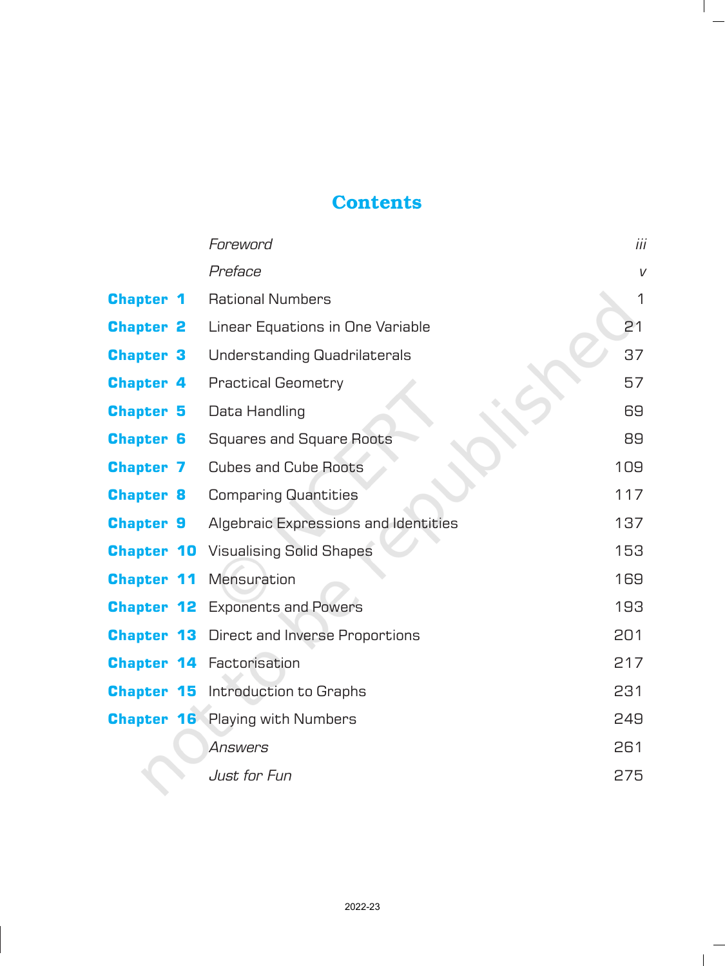# **Contents**

|                  | Foreword                                         | iii |
|------------------|--------------------------------------------------|-----|
|                  | Preface                                          | V   |
| <b>Chapter 1</b> | <b>Rational Numbers</b>                          | 1   |
| <b>Chapter 2</b> | Linear Equations in One Variable                 | 21  |
| <b>Chapter 3</b> | <b>Understanding Quadrilaterals</b>              | 37  |
| <b>Chapter 4</b> | <b>Practical Geometry</b>                        | 57  |
| <b>Chapter 5</b> | Data Handling                                    | 69  |
| <b>Chapter 6</b> | <b>Squares and Square Roots</b>                  | 89  |
| <b>Chapter 7</b> | <b>Cubes and Cube Roots</b>                      | 109 |
| <b>Chapter 8</b> | <b>Comparing Quantities</b>                      | 117 |
| <b>Chapter 9</b> | Algebraic Expressions and Identities             | 137 |
|                  | <b>Chapter 10</b> Visualising Solid Shapes       | 153 |
|                  | <b>Chapter 11</b> Mensuration                    | 169 |
|                  | <b>Chapter 12</b> Exponents and Powers           | 193 |
|                  | <b>Chapter 13</b> Direct and Inverse Proportions | 201 |
|                  | <b>Chapter 14</b> Factorisation                  | 217 |
|                  | <b>Chapter 15</b> Introduction to Graphs         | 231 |
|                  | <b>Chapter 16</b> Playing with Numbers           | 249 |
|                  | Answers                                          | 261 |
|                  | Just for Fun                                     | 275 |